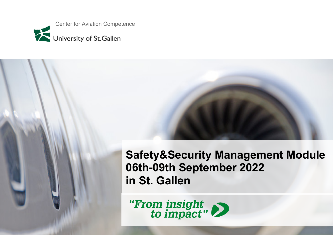

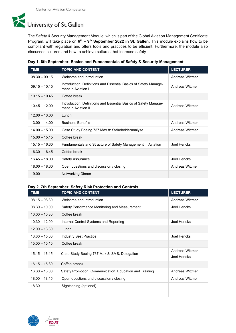

The Safety & Security Management Module, which is part of the Global Aviation Management Certificate Program, will take place on **6th – 9th September 2022 in St. Gallen.** This module explains how to be compliant with regulation and offers tools and practices to be efficient. Furthermore, the module also discusses cultures and how to achieve cultures that increase safety.

| <b>TIME</b>     | <b>TOPIC AND CONTENT</b>                                                                | <b>LECTURER</b> |
|-----------------|-----------------------------------------------------------------------------------------|-----------------|
| $08.30 - 09.15$ | Welcome and Introduction                                                                | Andreas Wittmer |
| $09.15 - 10.15$ | Introduction, Definitions and Essential Basics of Safety Manage-<br>ment in Aviation I  | Andreas Wittmer |
| $10.15 - 10.45$ | Coffee break                                                                            |                 |
| $10.45 - 12.00$ | Introduction, Definitions and Essential Basics of Safety Manage-<br>ment in Aviation II | Andreas Wittmer |
| $12.00 - 13.00$ | Lunch                                                                                   |                 |
| $13.00 - 14.00$ | <b>Business Benefits</b>                                                                | Andreas Wittmer |
| $14.00 - 15.00$ | Case Study Boeing 737 Max 8: Stakeholderanalyse                                         | Andreas Wittmer |
| $15.00 - 15.15$ | Coffee break                                                                            |                 |
| $15.15 - 16.30$ | Fundamentals and Structure of Safety Management in Aviation                             | Joel Hencks     |
| $16.30 - 16.45$ | Coffee break                                                                            |                 |
| $16.45 - 18.00$ | <b>Safety Assurance</b>                                                                 | Joel Hencks     |
| $18.00 - 18.30$ | Open questions and discussion / closing                                                 | Andreas Wittmer |
| 19.00           | <b>Networking Dinner</b>                                                                |                 |

|  |  |  | Day 1, 6th September: Basics and Fundamentals of Safety & Security Management |  |  |  |
|--|--|--|-------------------------------------------------------------------------------|--|--|--|
|--|--|--|-------------------------------------------------------------------------------|--|--|--|

## **Day 2, 7th September: Safety Risk Protection and Controls**

| <b>TIME</b>     | <b>TOPIC AND CONTENT</b>                                | <b>LECTURER</b>    |
|-----------------|---------------------------------------------------------|--------------------|
| $08.15 - 08.30$ | Welcome and Introduction                                | Andreas Wittmer    |
| $08.30 - 10.00$ | Safety Performance Monitoring and Measurement           | Joel Hencks        |
| $10.00 - 10.30$ | Coffee break                                            |                    |
| $10.30 - 12.00$ | Internal Control Systems and Reporting                  | <b>Joel Hencks</b> |
| $12.00 - 13.30$ | Lunch                                                   |                    |
| $13.30 - 15.00$ | Industry Best Practice I                                | Joel Hencks        |
| $15.00 - 15.15$ | Coffee break                                            |                    |
| $15.15 - 16.15$ | Case Study Boeing 737 Max 8: SMS, Delegation            |                    |
|                 |                                                         | Joel Hencks        |
| $16.15 - 16.30$ | Coffee breack                                           |                    |
| $16.30 - 18.00$ | Safety Promotion: Communication, Education and Training | Andreas Wittmer    |
| $18.00 - 18.15$ | Open questions and discussion / closing                 | Andreas Wittmer    |
| 18.30           | Sightseeing (optional)                                  |                    |
|                 |                                                         |                    |

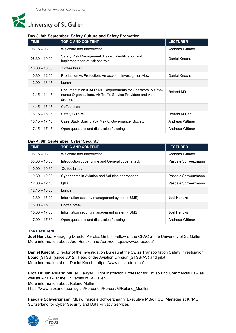# University of St.Gallen

# **Day 3, 8th September: Safety Culture and Safety Promotion**

| <b>TIME</b>     | <b>TOPIC AND CONTENT</b>                                                                                                             | <b>LECTURER</b> |
|-----------------|--------------------------------------------------------------------------------------------------------------------------------------|-----------------|
| $08.15 - 08.30$ | Welcome and Introduction                                                                                                             | Andreas Wittmer |
| $08.30 - 10.00$ | Safety Risk Management: Hazard identification and<br>implementation of risk controls                                                 | Daniel Knecht   |
| $10.00 - 10.30$ | Coffee break                                                                                                                         |                 |
| $10.30 - 12.00$ | Production vs Protection: An accident investigation view                                                                             | Daniel Knecht   |
| $12.00 - 13.15$ | Lunch                                                                                                                                |                 |
| $13.15 - 14.45$ | Documentation ICAO SMS Requirements for Operators, Mainte-<br>nance Organizations, Air Traffic Service Providers and Aero-<br>dromes | Roland Müller   |
| $14.45 - 15.15$ | Coffee break                                                                                                                         |                 |
| $15.15 - 16.15$ | <b>Safety Culture</b>                                                                                                                | Roland Müller   |
| $16.15 - 17.15$ | Case Study Boeing 737 Max 8: Governance, Society                                                                                     | Andreas Wittmer |
| $17.15 - 17.45$ | Open questions and discussion / closing                                                                                              | Andreas Wittmer |

## **Day 4, 9th September: Cyber Security**

| <b>TIME</b>     | <b>TOPIC AND CONTENT</b>                          | <b>LECTURER</b>     |
|-----------------|---------------------------------------------------|---------------------|
| $08.15 - 08.30$ | Welcome and Introduction                          | Andreas Wittmer     |
| $08.30 - 10.00$ | Introduction cyber crime and General cyber attack | Pascale Schwerzmann |
| $10.00 - 10.30$ | Coffee break                                      |                     |
| $10.30 - 12.00$ | Cyber crime in Aviation and Solution approaches   | Pascale Schwerzmann |
| $12.00 - 12.15$ | Q&A                                               | Pascale Schwerzmann |
| $12.15 - 13.30$ | Lunch                                             |                     |
| $13.30 - 15.00$ | Information security management system (ISMS)     | Joel Hencks         |
| $15.00 - 15.30$ | Coffee break                                      |                     |
| $15.30 - 17.00$ | Information security management system (ISMS)     | Joel Hencks         |
| $17.00 - 17.30$ | Open questions and discussion / closing           | Andreas Wittmer     |

## **The Lecturers**

**Joel Hencks**, Managing Director AeroEx GmbH, Fellow of the CFAC at the University of St. Gallen. More information about Joel Hencks and AeroEx:<http://www.aeroex.eu/>

**Daniel Knecht,** Director of the Investigation Bureau at the Swiss Transportation Safety Investigation Board (STSB) (since 2012), Head of the Aviation Division (STSB-AV) and pilot More information about Daniel Knecht:<https://www.sust.admin.ch/>

**Prof. Dr. iur. Roland Müller,** Lawyer, Flight Instructor, Professor for Privat- und Commercial Law as well as Air Law at the University of St.Gallen. More information about Roland Müller: [https://www.alexandria.unisg.ch/Personen/Person/M/Roland\\_Mueller](https://www.alexandria.unisg.ch/Personen/Person/M/Roland_Mueller)

**Pascale Schwerzmann**, MLaw Pascale Schwerzmann, Executive MBA HSG, Manager at KPMG Switzerland for Cyber Security and Data Privacy Services



EFMD